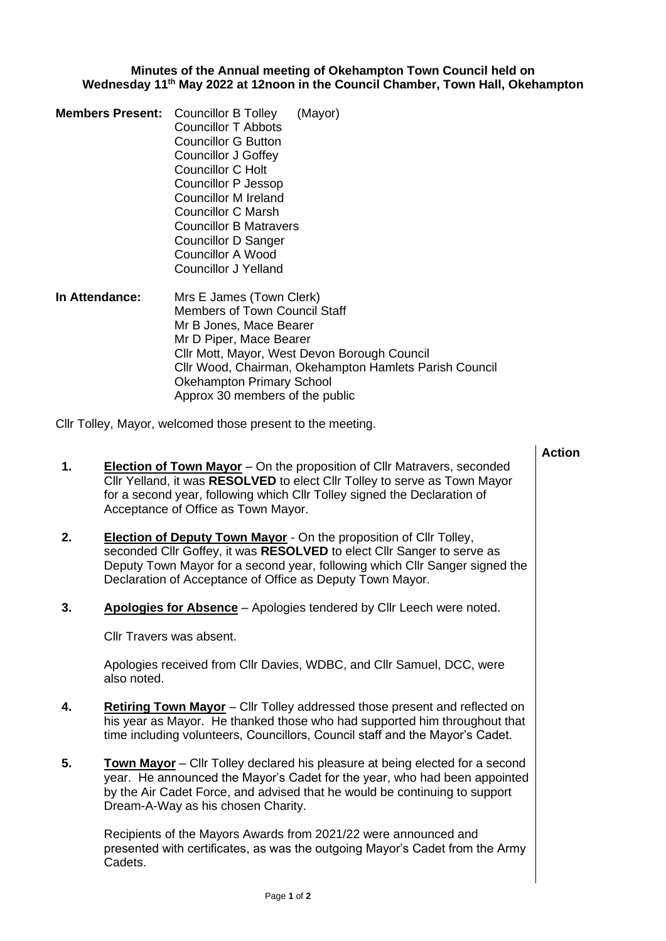## **Minutes of the Annual meeting of Okehampton Town Council held on Wednesday 11th May 2022 at 12noon in the Council Chamber, Town Hall, Okehampton**

- **Members Present:** Councillor B Tolley (Mayor) Councillor T Abbots Councillor G Button Councillor J Goffey Councillor C Holt Councillor P Jessop Councillor M Ireland Councillor C Marsh Councillor B Matravers Councillor D Sanger Councillor A Wood Councillor J Yelland
- **In Attendance:** Mrs E James (Town Clerk) Members of Town Council Staff Mr B Jones, Mace Bearer Mr D Piper, Mace Bearer Cllr Mott, Mayor, West Devon Borough Council Cllr Wood, Chairman, Okehampton Hamlets Parish Council Okehampton Primary School Approx 30 members of the public

Cllr Tolley, Mayor, welcomed those present to the meeting.

| <b>Election of Town Mayor</b> – On the proposition of Cllr Matravers, seconded<br>Cllr Yelland, it was RESOLVED to elect Cllr Tolley to serve as Town Mayor<br>for a second year, following which Cllr Tolley signed the Declaration of<br>Acceptance of Office as Town Mayor.<br><b>Election of Deputy Town Mayor</b> - On the proposition of Cllr Tolley,<br>seconded Cllr Goffey, it was RESOLVED to elect Cllr Sanger to serve as<br>Deputy Town Mayor for a second year, following which Cllr Sanger signed the<br>Declaration of Acceptance of Office as Deputy Town Mayor.<br>Apologies for Absence - Apologies tendered by Cllr Leech were noted.<br>Cllr Travers was absent.<br>Apologies received from Cllr Davies, WDBC, and Cllr Samuel, DCC, were<br>also noted.<br><b>Retiring Town Mayor</b> – Cllr Tolley addressed those present and reflected on<br>his year as Mayor. He thanked those who had supported him throughout that<br>time including volunteers, Councillors, Council staff and the Mayor's Cadet.<br><b>Town Mayor</b> – Cllr Tolley declared his pleasure at being elected for a second<br>year. He announced the Mayor's Cadet for the year, who had been appointed<br>by the Air Cadet Force, and advised that he would be continuing to support<br>Dream-A-Way as his chosen Charity.<br>Recipients of the Mayors Awards from 2021/22 were announced and<br>presented with certificates, as was the outgoing Mayor's Cadet from the Army<br>Cadets. |    | <b>Action</b> |
|---------------------------------------------------------------------------------------------------------------------------------------------------------------------------------------------------------------------------------------------------------------------------------------------------------------------------------------------------------------------------------------------------------------------------------------------------------------------------------------------------------------------------------------------------------------------------------------------------------------------------------------------------------------------------------------------------------------------------------------------------------------------------------------------------------------------------------------------------------------------------------------------------------------------------------------------------------------------------------------------------------------------------------------------------------------------------------------------------------------------------------------------------------------------------------------------------------------------------------------------------------------------------------------------------------------------------------------------------------------------------------------------------------------------------------------------------------------------------------------|----|---------------|
|                                                                                                                                                                                                                                                                                                                                                                                                                                                                                                                                                                                                                                                                                                                                                                                                                                                                                                                                                                                                                                                                                                                                                                                                                                                                                                                                                                                                                                                                                       | 1. |               |
|                                                                                                                                                                                                                                                                                                                                                                                                                                                                                                                                                                                                                                                                                                                                                                                                                                                                                                                                                                                                                                                                                                                                                                                                                                                                                                                                                                                                                                                                                       | 2. |               |
|                                                                                                                                                                                                                                                                                                                                                                                                                                                                                                                                                                                                                                                                                                                                                                                                                                                                                                                                                                                                                                                                                                                                                                                                                                                                                                                                                                                                                                                                                       | 3. |               |
|                                                                                                                                                                                                                                                                                                                                                                                                                                                                                                                                                                                                                                                                                                                                                                                                                                                                                                                                                                                                                                                                                                                                                                                                                                                                                                                                                                                                                                                                                       |    |               |
|                                                                                                                                                                                                                                                                                                                                                                                                                                                                                                                                                                                                                                                                                                                                                                                                                                                                                                                                                                                                                                                                                                                                                                                                                                                                                                                                                                                                                                                                                       |    |               |
|                                                                                                                                                                                                                                                                                                                                                                                                                                                                                                                                                                                                                                                                                                                                                                                                                                                                                                                                                                                                                                                                                                                                                                                                                                                                                                                                                                                                                                                                                       | 4. |               |
|                                                                                                                                                                                                                                                                                                                                                                                                                                                                                                                                                                                                                                                                                                                                                                                                                                                                                                                                                                                                                                                                                                                                                                                                                                                                                                                                                                                                                                                                                       | 5. |               |
|                                                                                                                                                                                                                                                                                                                                                                                                                                                                                                                                                                                                                                                                                                                                                                                                                                                                                                                                                                                                                                                                                                                                                                                                                                                                                                                                                                                                                                                                                       |    |               |